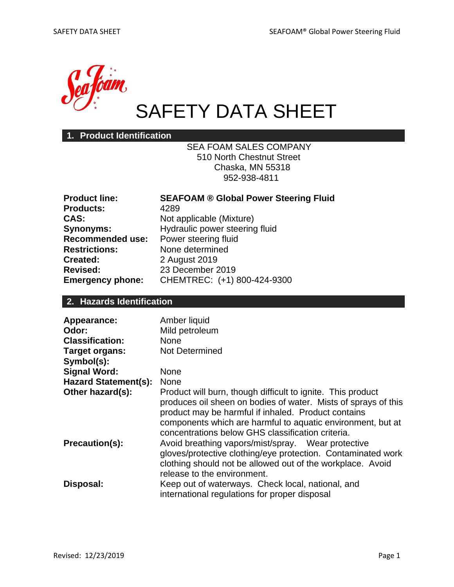

# SAFETY DATA SHEET

### **1. Product Identification**

SEA FOAM SALES COMPANY 510 North Chestnut Street Chaska, MN 55318 952-938-4811

| <b>Product line:</b>    | <b>SEAFOAM ® Global Power Steering Fluid</b> |
|-------------------------|----------------------------------------------|
| <b>Products:</b>        | 4289                                         |
| CAS:                    | Not applicable (Mixture)                     |
| <b>Synonyms:</b>        | Hydraulic power steering fluid               |
| <b>Recommended use:</b> | Power steering fluid                         |
| <b>Restrictions:</b>    | None determined                              |
| <b>Created:</b>         | 2 August 2019                                |
| <b>Revised:</b>         | 23 December 2019                             |
| <b>Emergency phone:</b> | CHEMTREC: (+1) 800-424-9300                  |
|                         |                                              |

#### **2. Hazards Identification**

| Appearance:<br>Odor:        | Amber liquid<br>Mild petroleum                                                                                                                                                                                                                                                                           |
|-----------------------------|----------------------------------------------------------------------------------------------------------------------------------------------------------------------------------------------------------------------------------------------------------------------------------------------------------|
| <b>Classification:</b>      | <b>None</b>                                                                                                                                                                                                                                                                                              |
| Target organs:              | <b>Not Determined</b>                                                                                                                                                                                                                                                                                    |
| Symbol(s):                  |                                                                                                                                                                                                                                                                                                          |
| <b>Signal Word:</b>         | <b>None</b>                                                                                                                                                                                                                                                                                              |
| <b>Hazard Statement(s):</b> | <b>None</b>                                                                                                                                                                                                                                                                                              |
| Other hazard(s):            | Product will burn, though difficult to ignite. This product<br>produces oil sheen on bodies of water. Mists of sprays of this<br>product may be harmful if inhaled. Product contains<br>components which are harmful to aquatic environment, but at<br>concentrations below GHS classification criteria. |
| Precaution(s):              | Avoid breathing vapors/mist/spray. Wear protective<br>gloves/protective clothing/eye protection. Contaminated work<br>clothing should not be allowed out of the workplace. Avoid<br>release to the environment.                                                                                          |
| Disposal:                   | Keep out of waterways. Check local, national, and<br>international regulations for proper disposal                                                                                                                                                                                                       |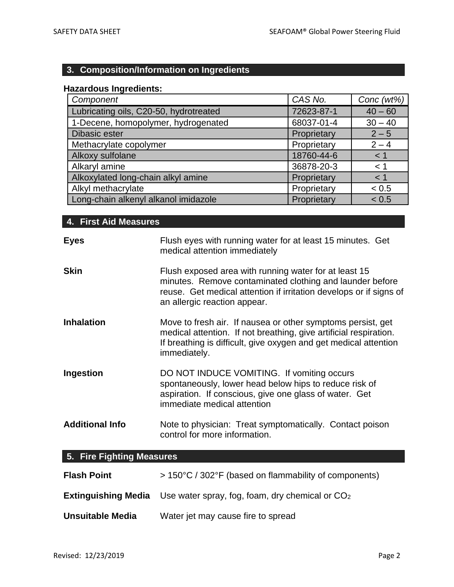### **3. Composition/Information on Ingredients**

#### **Hazardous Ingredients:**

| Component                              | CAS No.     | Conc (wt%) |
|----------------------------------------|-------------|------------|
| Lubricating oils, C20-50, hydrotreated | 72623-87-1  | $40 - 60$  |
| 1-Decene, homopolymer, hydrogenated    | 68037-01-4  | $30 - 40$  |
| <b>Dibasic ester</b>                   | Proprietary | $2 - 5$    |
| Methacrylate copolymer                 | Proprietary | $2 - 4$    |
| Alkoxy sulfolane                       | 18760-44-6  | < 1        |
| Alkaryl amine                          | 36878-20-3  | < 1        |
| Alkoxylated long-chain alkyl amine     | Proprietary | < 1        |
| Alkyl methacrylate                     | Proprietary | < 0.5      |
| Long-chain alkenyl alkanol imidazole   | Proprietary | < 0.5      |

### **4. First Aid Measures**

| <b>Eyes</b>                | Flush eyes with running water for at least 15 minutes. Get<br>medical attention immediately                                                                                                                             |
|----------------------------|-------------------------------------------------------------------------------------------------------------------------------------------------------------------------------------------------------------------------|
| <b>Skin</b>                | Flush exposed area with running water for at least 15<br>minutes. Remove contaminated clothing and launder before<br>reuse. Get medical attention if irritation develops or if signs of<br>an allergic reaction appear. |
| <b>Inhalation</b>          | Move to fresh air. If nausea or other symptoms persist, get<br>medical attention. If not breathing, give artificial respiration.<br>If breathing is difficult, give oxygen and get medical attention<br>immediately.    |
| Ingestion                  | DO NOT INDUCE VOMITING. If vomiting occurs<br>spontaneously, lower head below hips to reduce risk of<br>aspiration. If conscious, give one glass of water. Get<br>immediate medical attention                           |
| <b>Additional Info</b>     | Note to physician: Treat symptomatically. Contact poison<br>control for more information.                                                                                                                               |
| 5. Fire Fighting Measures  |                                                                                                                                                                                                                         |
| <b>Flash Point</b>         | > 150°C / 302°F (based on flammability of components)                                                                                                                                                                   |
| <b>Extinguishing Media</b> | Use water spray, fog, foam, dry chemical or $CO2$                                                                                                                                                                       |

**Unsuitable Media** Water jet may cause fire to spread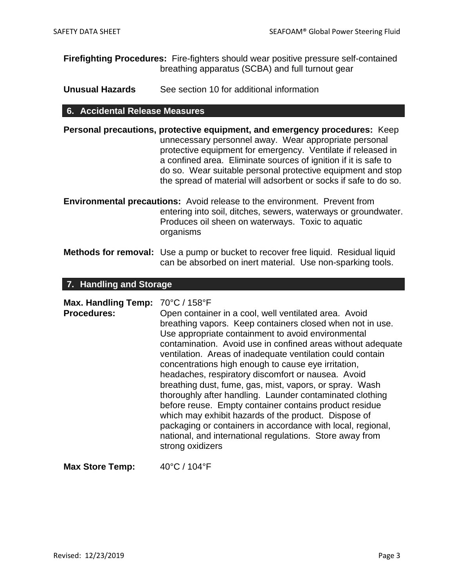**Firefighting Procedures:** Fire-fighters should wear positive pressure self-contained breathing apparatus (SCBA) and full turnout gear

**Unusual Hazards** See section 10 for additional information

#### **6. Accidental Release Measures**

- **Personal precautions, protective equipment, and emergency procedures:** Keep unnecessary personnel away. Wear appropriate personal protective equipment for emergency. Ventilate if released in a confined area. Eliminate sources of ignition if it is safe to do so. Wear suitable personal protective equipment and stop the spread of material will adsorbent or socks if safe to do so.
- **Environmental precautions:** Avoid release to the environment. Prevent from entering into soil, ditches, sewers, waterways or groundwater. Produces oil sheen on waterways. Toxic to aquatic organisms
- **Methods for removal:** Use a pump or bucket to recover free liquid. Residual liquid can be absorbed on inert material. Use non-sparking tools.

#### **7. Handling and Storage**

| <b>Max. Handling Temp:</b> | 70°C / 158°F                                                                                                                                                                                                                                                                                                                                                                                                                                                                                                                                                                                                                                                                                                                                                                                               |
|----------------------------|------------------------------------------------------------------------------------------------------------------------------------------------------------------------------------------------------------------------------------------------------------------------------------------------------------------------------------------------------------------------------------------------------------------------------------------------------------------------------------------------------------------------------------------------------------------------------------------------------------------------------------------------------------------------------------------------------------------------------------------------------------------------------------------------------------|
| <b>Procedures:</b>         | Open container in a cool, well ventilated area. Avoid<br>breathing vapors. Keep containers closed when not in use.<br>Use appropriate containment to avoid environmental<br>contamination. Avoid use in confined areas without adequate<br>ventilation. Areas of inadequate ventilation could contain<br>concentrations high enough to cause eye irritation,<br>headaches, respiratory discomfort or nausea. Avoid<br>breathing dust, fume, gas, mist, vapors, or spray. Wash<br>thoroughly after handling. Launder contaminated clothing<br>before reuse. Empty container contains product residue<br>which may exhibit hazards of the product. Dispose of<br>packaging or containers in accordance with local, regional,<br>national, and international regulations. Store away from<br>strong oxidizers |
|                            |                                                                                                                                                                                                                                                                                                                                                                                                                                                                                                                                                                                                                                                                                                                                                                                                            |

Max Store Temp:  $40^{\circ}$ C / 104 $^{\circ}$ F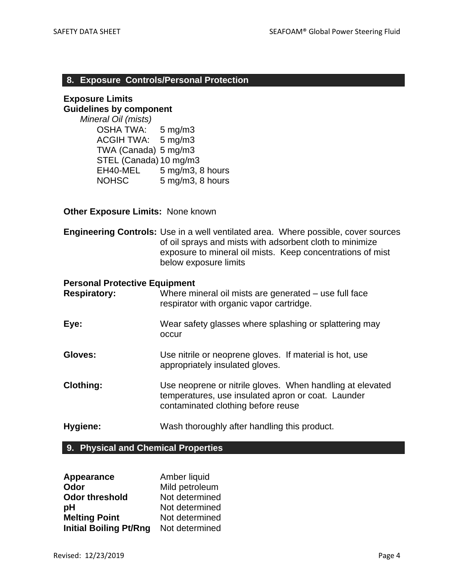#### **8. Exposure Controls/Personal Protection**

#### **Exposure Limits Guidelines by component**

*Mineral Oil (mists)* OSHA TWA: 5 mg/m3 ACGIH TWA: 5 mg/m3 TWA (Canada) 5 mg/m3 STEL (Canada) 10 mg/m3 EH40-MEL 5 mg/m3, 8 hours NOHSC 5 mg/m3, 8 hours

#### **Other Exposure Limits:** None known

**Engineering Controls:** Use in a well ventilated area. Where possible, cover sources of oil sprays and mists with adsorbent cloth to minimize exposure to mineral oil mists. Keep concentrations of mist below exposure limits

#### **Personal Protective Equipment**

| <b>Respiratory:</b> | Where mineral oil mists are generated – use full face<br>respirator with organic vapor cartridge.                                                     |
|---------------------|-------------------------------------------------------------------------------------------------------------------------------------------------------|
| Eye:                | Wear safety glasses where splashing or splattering may<br>occur                                                                                       |
| Gloves:             | Use nitrile or neoprene gloves. If material is hot, use<br>appropriately insulated gloves.                                                            |
| <b>Clothing:</b>    | Use neoprene or nitrile gloves. When handling at elevated<br>temperatures, use insulated apron or coat. Launder<br>contaminated clothing before reuse |
| Hygiene:            | Wash thoroughly after handling this product.                                                                                                          |

#### **9. Physical and Chemical Properties**

| Appearance                    | Amber liquid   |
|-------------------------------|----------------|
| Odor                          | Mild petroleum |
| <b>Odor threshold</b>         | Not determined |
| рH                            | Not determined |
| <b>Melting Point</b>          | Not determined |
| <b>Initial Boiling Pt/Rng</b> | Not determined |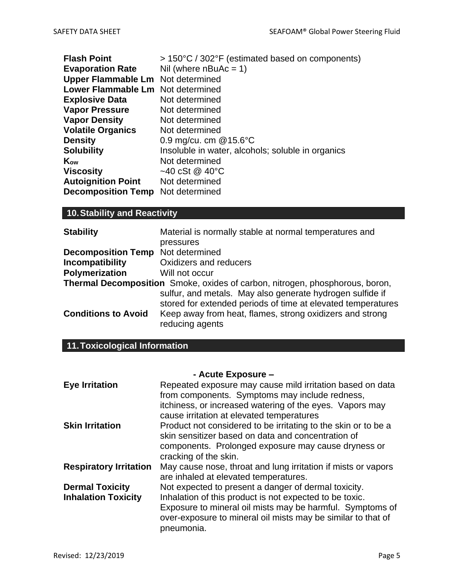| <b>Flash Point</b>                       | > 150°C / 302°F (estimated based on components)   |
|------------------------------------------|---------------------------------------------------|
| <b>Evaporation Rate</b>                  | Nil (where $nBuAc = 1$ )                          |
| <b>Upper Flammable Lm</b> Not determined |                                                   |
| Lower Flammable Lm Not determined        |                                                   |
| <b>Explosive Data</b>                    | Not determined                                    |
| <b>Vapor Pressure</b>                    | Not determined                                    |
| <b>Vapor Density</b>                     | Not determined                                    |
| <b>Volatile Organics</b>                 | Not determined                                    |
| <b>Density</b>                           | 0.9 mg/cu. cm $@15.6^{\circ}$ C                   |
| <b>Solubility</b>                        | Insoluble in water, alcohols; soluble in organics |
| Kow                                      | Not determined                                    |
| <b>Viscosity</b>                         | $~10^{\circ}$ CSt @ 40 $^{\circ}$ C               |
| <b>Autoignition Point</b>                | Not determined                                    |
| <b>Decomposition Temp</b>                | Not determined                                    |
|                                          |                                                   |

# **10.Stability and Reactivity**

| <b>Stability</b>           | Material is normally stable at normal temperatures and                                                                    |
|----------------------------|---------------------------------------------------------------------------------------------------------------------------|
|                            | pressures                                                                                                                 |
| <b>Decomposition Temp</b>  | Not determined                                                                                                            |
| Incompatibility            | Oxidizers and reducers                                                                                                    |
| Polymerization             | Will not occur                                                                                                            |
|                            | Thermal Decomposition Smoke, oxides of carbon, nitrogen, phosphorous, boron,                                              |
|                            | sulfur, and metals. May also generate hydrogen sulfide if<br>stored for extended periods of time at elevated temperatures |
| <b>Conditions to Avoid</b> | Keep away from heat, flames, strong oxidizers and strong<br>reducing agents                                               |

## **11.Toxicological Information**

|                               | - Acute Exposure -                                             |
|-------------------------------|----------------------------------------------------------------|
| <b>Eye Irritation</b>         | Repeated exposure may cause mild irritation based on data      |
|                               | from components. Symptoms may include redness,                 |
|                               | itchiness, or increased watering of the eyes. Vapors may       |
|                               | cause irritation at elevated temperatures                      |
| <b>Skin Irritation</b>        | Product not considered to be irritating to the skin or to be a |
|                               | skin sensitizer based on data and concentration of             |
|                               | components. Prolonged exposure may cause dryness or            |
|                               | cracking of the skin.                                          |
| <b>Respiratory Irritation</b> | May cause nose, throat and lung irritation if mists or vapors  |
|                               | are inhaled at elevated temperatures.                          |
| <b>Dermal Toxicity</b>        | Not expected to present a danger of dermal toxicity.           |
| <b>Inhalation Toxicity</b>    | Inhalation of this product is not expected to be toxic.        |
|                               | Exposure to mineral oil mists may be harmful. Symptoms of      |
|                               | over-exposure to mineral oil mists may be similar to that of   |
|                               | pneumonia.                                                     |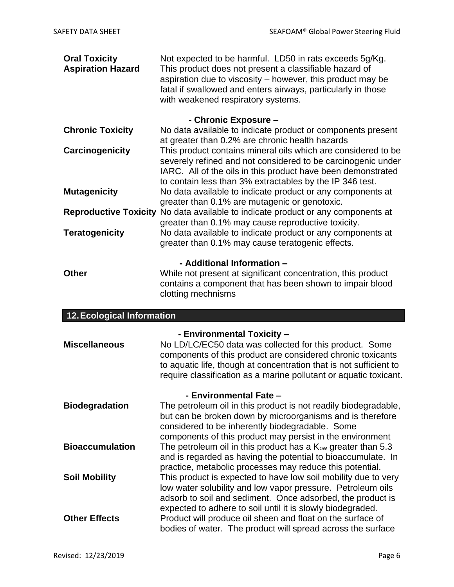| <b>Oral Toxicity</b><br><b>Aspiration Hazard</b> | Not expected to be harmful. LD50 in rats exceeds 5g/Kg.<br>This product does not present a classifiable hazard of<br>aspiration due to viscosity – however, this product may be<br>fatal if swallowed and enters airways, particularly in those<br>with weakened respiratory systems.           |
|--------------------------------------------------|-------------------------------------------------------------------------------------------------------------------------------------------------------------------------------------------------------------------------------------------------------------------------------------------------|
|                                                  | - Chronic Exposure -                                                                                                                                                                                                                                                                            |
| <b>Chronic Toxicity</b>                          | No data available to indicate product or components present                                                                                                                                                                                                                                     |
|                                                  | at greater than 0.2% are chronic health hazards                                                                                                                                                                                                                                                 |
| Carcinogenicity                                  | This product contains mineral oils which are considered to be<br>severely refined and not considered to be carcinogenic under                                                                                                                                                                   |
|                                                  | IARC. All of the oils in this product have been demonstrated                                                                                                                                                                                                                                    |
|                                                  | to contain less than 3% extractables by the IP 346 test.                                                                                                                                                                                                                                        |
| <b>Mutagenicity</b>                              | No data available to indicate product or any components at                                                                                                                                                                                                                                      |
|                                                  | greater than 0.1% are mutagenic or genotoxic.                                                                                                                                                                                                                                                   |
|                                                  | Reproductive Toxicity No data available to indicate product or any components at<br>greater than 0.1% may cause reproductive toxicity.                                                                                                                                                          |
| <b>Teratogenicity</b>                            | No data available to indicate product or any components at                                                                                                                                                                                                                                      |
|                                                  | greater than 0.1% may cause teratogenic effects.                                                                                                                                                                                                                                                |
|                                                  |                                                                                                                                                                                                                                                                                                 |
| <b>Other</b>                                     | - Additional Information -<br>While not present at significant concentration, this product                                                                                                                                                                                                      |
|                                                  | contains a component that has been shown to impair blood                                                                                                                                                                                                                                        |
|                                                  | clotting mechnisms                                                                                                                                                                                                                                                                              |
|                                                  |                                                                                                                                                                                                                                                                                                 |
| <b>12. Ecological Information</b>                |                                                                                                                                                                                                                                                                                                 |
| <b>Miscellaneous</b>                             | - Environmental Toxicity -<br>No LD/LC/EC50 data was collected for this product. Some<br>components of this product are considered chronic toxicants<br>to aquatic life, though at concentration that is not sufficient to<br>require classification as a marine pollutant or aquatic toxicant. |
|                                                  | - Environmental Fate -                                                                                                                                                                                                                                                                          |
| <b>Biodegradation</b>                            | The petroleum oil in this product is not readily biodegradable,                                                                                                                                                                                                                                 |
|                                                  | but can be broken down by microorganisms and is therefore                                                                                                                                                                                                                                       |
|                                                  | considered to be inherently biodegradable. Some<br>components of this product may persist in the environment                                                                                                                                                                                    |

and is regarded as having the potential to bioaccumulate. In practice, metabolic processes may reduce this potential.

low water solubility and low vapor pressure. Petroleum oils adsorb to soil and sediment. Once adsorbed, the product is expected to adhere to soil until it is slowly biodegraded.

bodies of water. The product will spread across the surface

**Bioaccumulation** The petroleum oil in this product has a K<sub>ow</sub> greater than 5.3

**Soil Mobility** This product is expected to have low soil mobility due to very

**Other Effects** Product will produce oil sheen and float on the surface of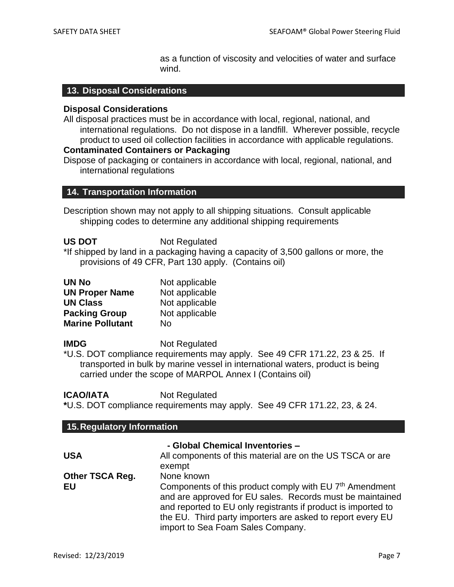as a function of viscosity and velocities of water and surface wind.

#### **13. Disposal Considerations**

#### **Disposal Considerations**

All disposal practices must be in accordance with local, regional, national, and international regulations. Do not dispose in a landfill. Wherever possible, recycle product to used oil collection facilities in accordance with applicable regulations.

#### **Contaminated Containers or Packaging**

Dispose of packaging or containers in accordance with local, regional, national, and international regulations

#### **14. Transportation Information**

Description shown may not apply to all shipping situations. Consult applicable shipping codes to determine any additional shipping requirements

| <b>US DOT</b> | Not Regulated |
|---------------|---------------|
|---------------|---------------|

\*If shipped by land in a packaging having a capacity of 3,500 gallons or more, the provisions of 49 CFR, Part 130 apply. (Contains oil)

| <b>UN No</b>            | Not applicable |
|-------------------------|----------------|
| <b>UN Proper Name</b>   | Not applicable |
| <b>UN Class</b>         | Not applicable |
| <b>Packing Group</b>    | Not applicable |
| <b>Marine Pollutant</b> | No             |

**IMDG** Not Regulated

\*U.S. DOT compliance requirements may apply. See 49 CFR 171.22, 23 & 25. If transported in bulk by marine vessel in international waters, product is being carried under the scope of MARPOL Annex I (Contains oil)

**ICAO/IATA** Not Regulated

**\***U.S. DOT compliance requirements may apply. See 49 CFR 171.22, 23, & 24.

| 15. Regulatory Information      |                                                                                                                                                                                                                                                                                                      |  |  |
|---------------------------------|------------------------------------------------------------------------------------------------------------------------------------------------------------------------------------------------------------------------------------------------------------------------------------------------------|--|--|
| - Global Chemical Inventories - |                                                                                                                                                                                                                                                                                                      |  |  |
| <b>USA</b>                      | All components of this material are on the US TSCA or are<br>exempt                                                                                                                                                                                                                                  |  |  |
| <b>Other TSCA Reg.</b>          | None known                                                                                                                                                                                                                                                                                           |  |  |
| EU                              | Components of this product comply with EU 7 <sup>th</sup> Amendment<br>and are approved for EU sales. Records must be maintained<br>and reported to EU only registrants if product is imported to<br>the EU. Third party importers are asked to report every EU<br>import to Sea Foam Sales Company. |  |  |